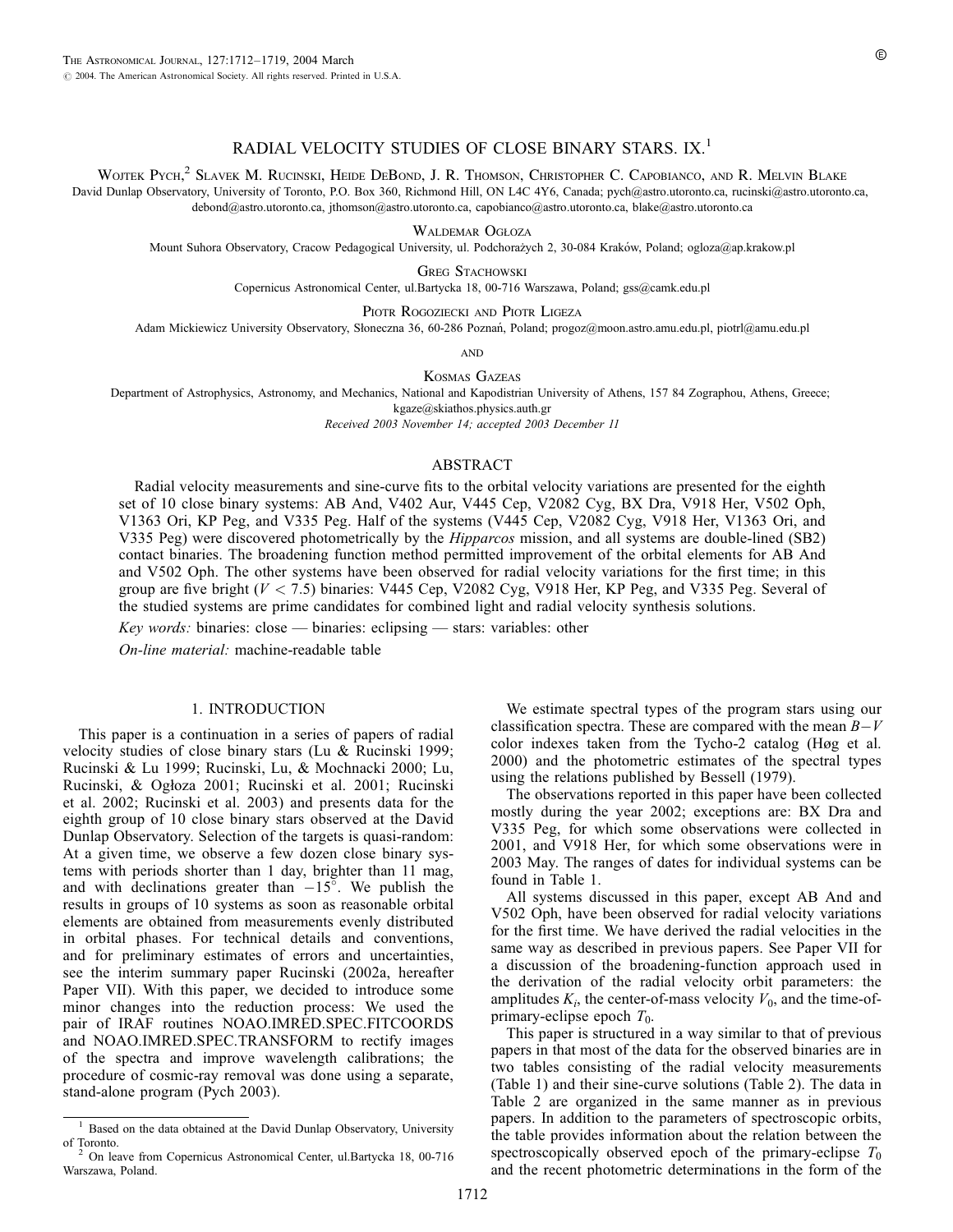# RADIAL VELOCITY STUDIES OF CLOSE BINARY STARS. IX.<sup>1</sup>

Wojtek Pych,<sup>2</sup> Slavek M. Rucinski, Heide DeBond, J. R. Thomson, Christopher C. Capobianco, and R. Melvin Blake

David Dunlap Observatory, University of Toronto, P.O. Box 360, Richmond Hill, ON L4C 4Y6, Canada; pych@astro.utoronto.ca, rucinski@astro.utoronto.ca, debond@astro.utoronto.ca, jthomson@astro.utoronto.ca, capobianco@astro.utoronto.ca, blake@astro.utoronto.ca

WALDEMAR OGŁOZA

Mount Suhora Observatory, Cracow Pedagogical University, ul. Podchorażych 2, 30-084 Kraków, Poland; ogloza@ap.krakow.pl

**GREG STACHOWSKI** 

Copernicus Astronomical Center, ul.Bartycka 18, 00-716 Warszawa, Poland; gss@camk.edu.pl

Piotr Rogoziecki and Piotr Ligeza Adam Mickiewicz University Observatory, Słoneczna 36, 60-286 Poznań, Poland; progoz@moon.astro.amu.edu.pl, piotrl@amu.edu.pl

**AND** 

Kosmas Gazeas

Department of Astrophysics, Astronomy, and Mechanics, National and Kapodistrian University of Athens, 157 84 Zographou, Athens, Greece; kgaze@skiathos.physics.auth.gr

Received 2003 November 14; accepted 2003 December 11

## ABSTRACT

Radial velocity measurements and sine-curve fits to the orbital velocity variations are presented for the eighth set of 10 close binary systems: AB And, V402 Aur, V445 Cep, V2082 Cyg, BX Dra, V918 Her, V502 Oph, V1363 Ori, KP Peg, and V335 Peg. Half of the systems (V445 Cep, V2082 Cyg, V918 Her, V1363 Ori, and V335 Peg) were discovered photometrically by the Hipparcos mission, and all systems are double-lined (SB2) contact binaries. The broadening function method permitted improvement of the orbital elements for AB And and V502 Oph. The other systems have been observed for radial velocity variations for the first time; in this group are five bright (V < 7:5) binaries: V445 Cep, V2082 Cyg, V918 Her, KP Peg, and V335 Peg. Several of the studied systems are prime candidates for combined light and radial velocity synthesis solutions.

Key words: binaries: close — binaries: eclipsing — stars: variables: other

On-line material: machine-readable table

#### 1. INTRODUCTION

This paper is a continuation in a series of papers of radial velocity studies of close binary stars (Lu & Rucinski 1999; Rucinski & Lu 1999; Rucinski, Lu, & Mochnacki 2000; Lu, Rucinski, & Ogłoza 2001; Rucinski et al. 2001; Rucinski et al. 2002; Rucinski et al. 2003) and presents data for the eighth group of 10 close binary stars observed at the David Dunlap Observatory. Selection of the targets is quasi-random: At a given time, we observe a few dozen close binary systems with periods shorter than 1 day, brighter than 11 mag, and with declinations greater than  $-15^\circ$ . We publish the results in groups of 10 systems as soon as reasonable orbital elements are obtained from measurements evenly distributed in orbital phases. For technical details and conventions, and for preliminary estimates of errors and uncertainties, see the interim summary paper Rucinski (2002a, hereafter Paper VII). With this paper, we decided to introduce some minor changes into the reduction process: We used the pair of IRAF routines NOAO.IMRED.SPEC.FITCOORDS and NOAO.IMRED.SPEC.TRANSFORM to rectify images of the spectra and improve wavelength calibrations; the procedure of cosmic-ray removal was done using a separate, stand-alone program (Pych 2003).

We estimate spectral types of the program stars using our classification spectra. These are compared with the mean  $B-V$ color indexes taken from the Tycho-2 catalog (Høg et al. 2000) and the photometric estimates of the spectral types using the relations published by Bessell (1979).

The observations reported in this paper have been collected mostly during the year 2002; exceptions are: BX Dra and V335 Peg, for which some observations were collected in 2001, and V918 Her, for which some observations were in 2003 May. The ranges of dates for individual systems can be found in Table 1.

All systems discussed in this paper, except AB And and V502 Oph, have been observed for radial velocity variations for the first time. We have derived the radial velocities in the same way as described in previous papers. See Paper VII for a discussion of the broadening-function approach used in the derivation of the radial velocity orbit parameters: the amplitudes  $K_i$ , the center-of-mass velocity  $V_0$ , and the time-ofprimary-eclipse epoch  $T_0$ .

This paper is structured in a way similar to that of previous papers in that most of the data for the observed binaries are in two tables consisting of the radial velocity measurements (Table 1) and their sine-curve solutions (Table 2). The data in Table 2 are organized in the same manner as in previous papers. In addition to the parameters of spectroscopic orbits, the table provides information about the relation between the spectroscopically observed epoch of the primary-eclipse  $T_0$ and the recent photometric determinations in the form of the

Based on the data obtained at the David Dunlap Observatory, University of Toronto.

<sup>2</sup> On leave from Copernicus Astronomical Center, ul.Bartycka 18, 00-716 Warszawa, Poland.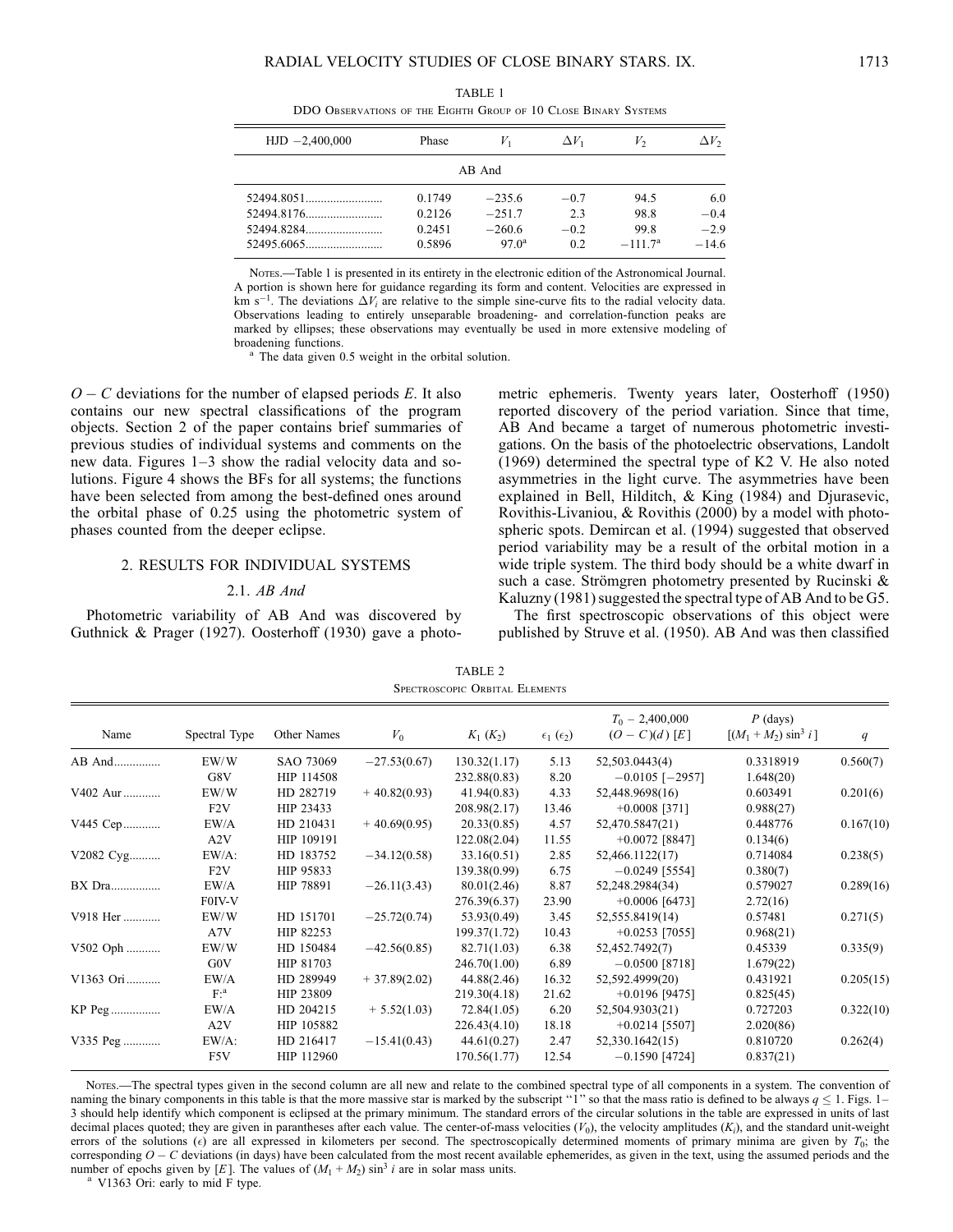TABLE 1 DDO Observations of the Eighth Group of 10 Close Binary Systems

| $HJD -2,400,000$ | Phase  |                | $\Delta V_1$ | V,        | $\Delta V_2$ |  |  |  |  |  |
|------------------|--------|----------------|--------------|-----------|--------------|--|--|--|--|--|
| AB And           |        |                |              |           |              |  |  |  |  |  |
|                  | 0.1749 | $-2356$        | $-0.7$       | 94.5      | 6.0          |  |  |  |  |  |
|                  | 0.2126 | $-2517$        | 2.3          | 98.8      | $-0.4$       |  |  |  |  |  |
|                  | 0.2451 | $-260.6$       | $-0.2$       | 99.8      | $-2.9$       |  |  |  |  |  |
|                  | 0.5896 | $97.0^{\circ}$ | 0.2          | $-1117^a$ | $-146$       |  |  |  |  |  |

Nores.—Table 1 is presented in its entirety in the electronic edition of the Astronomical Journal. A portion is shown here for guidance regarding its form and content. Velocities are expressed in km s<sup>-1</sup>. The deviations  $\Delta V_i$  are relative to the simple sine-curve fits to the radial velocity data. Observations leading to entirely unseparable broadening- and correlation-function peaks are marked by ellipses; these observations may eventually be used in more extensive modeling of broadening functions.

<sup>a</sup> The data given 0.5 weight in the orbital solution.

 $O - C$  deviations for the number of elapsed periods E. It also contains our new spectral classifications of the program objects. Section 2 of the paper contains brief summaries of previous studies of individual systems and comments on the new data. Figures 1–3 show the radial velocity data and solutions. Figure 4 shows the BFs for all systems; the functions have been selected from among the best-defined ones around the orbital phase of 0.25 using the photometric system of phases counted from the deeper eclipse.

#### 2. RESULTS FOR INDIVIDUAL SYSTEMS

# 2.1. AB And

Photometric variability of AB And was discovered by Guthnick & Prager (1927). Oosterhoff (1930) gave a photometric ephemeris. Twenty years later, Oosterhoff (1950) reported discovery of the period variation. Since that time, AB And became a target of numerous photometric investigations. On the basis of the photoelectric observations, Landolt (1969) determined the spectral type of K2 V. He also noted asymmetries in the light curve. The asymmetries have been explained in Bell, Hilditch, & King (1984) and Djurasevic, Rovithis-Livaniou, & Rovithis (2000) by a model with photospheric spots. Demircan et al. (1994) suggested that observed period variability may be a result of the orbital motion in a wide triple system. The third body should be a white dwarf in such a case. Strömgren photometry presented by Rucinski  $\&$ Kaluzny (1981) suggested the spectral type of AB And to be G5.

The first spectroscopic observations of this object were published by Struve et al. (1950). AB And was then classified

TABLE 2 Spectroscopic Orbital Elements

| Name      | Spectral Type  | Other Names | $V_0$          | $K_1(K_2)$   | $\epsilon_1$ ( $\epsilon_2$ ) | $T_0 - 2,400,000$<br>$(O - C)(d) [E]$ | $P$ (days)<br>$[(M_1 + M_2) \sin^3 i]$ | q         |
|-----------|----------------|-------------|----------------|--------------|-------------------------------|---------------------------------------|----------------------------------------|-----------|
| AB And    | EW/W           | SAO 73069   | $-27.53(0.67)$ | 130.32(1.17) | 5.13                          | 52,503.0443(4)                        | 0.3318919                              | 0.560(7)  |
|           | G8V            | HIP 114508  |                | 232.88(0.83) | 8.20                          | $-0.0105$ [-2957]                     | 1.648(20)                              |           |
| V402 Aur  | EW/W           | HD 282719   | $+40.82(0.93)$ | 41.94(0.83)  | 4.33                          | 52,448.9698(16)                       | 0.603491                               | 0.201(6)  |
|           | F2V            | HIP 23433   |                | 208.98(2.17) | 13.46                         | $+0.0008$ [371]                       | 0.988(27)                              |           |
| V445 Cep  | EW/A           | HD 210431   | $+40.69(0.95)$ | 20.33(0.85)  | 4.57                          | 52,470.5847(21)                       | 0.448776                               | 0.167(10) |
|           | A2V            | HIP 109191  |                | 122.08(2.04) | 11.55                         | $+0.0072$ [8847]                      | 0.134(6)                               |           |
| V2082 Cyg | EW/A:          | HD 183752   | $-34.12(0.58)$ | 33.16(0.51)  | 2.85                          | 52,466.1122(17)                       | 0.714084                               | 0.238(5)  |
|           | F2V            | HIP 95833   |                | 139.38(0.99) | 6.75                          | $-0.0249$ [5554]                      | 0.380(7)                               |           |
| BX Dra    | EW/A           | HIP 78891   | $-26.11(3.43)$ | 80.01(2.46)  | 8.87                          | 52,248.2984(34)                       | 0.579027                               | 0.289(16) |
|           | F0IV-V         |             |                | 276.39(6.37) | 23.90                         | $+0.0006$ [6473]                      | 2.72(16)                               |           |
| V918 Her  | EW/W           | HD 151701   | $-25.72(0.74)$ | 53.93(0.49)  | 3.45                          | 52,555.8419(14)                       | 0.57481                                | 0.271(5)  |
|           | A7V            | HIP 82253   |                | 199.37(1.72) | 10.43                         | $+0.0253$ [7055]                      | 0.968(21)                              |           |
| V502 Oph  | EW/W           | HD 150484   | $-42.56(0.85)$ | 82.71(1.03)  | 6.38                          | 52,452.7492(7)                        | 0.45339                                | 0.335(9)  |
|           | G0V            | HIP 81703   |                | 246.70(1.00) | 6.89                          | $-0.0500$ [8718]                      | 1.679(22)                              |           |
| V1363 Ori | EW/A           | HD 289949   | $+37.89(2.02)$ | 44.88(2.46)  | 16.32                         | 52,592.4999(20)                       | 0.431921                               | 0.205(15) |
|           | F <sup>a</sup> | HIP 23809   |                | 219.30(4.18) | 21.62                         | $+0.0196$ [9475]                      | 0.825(45)                              |           |
|           | EW/A           | HD 204215   | $+ 5.52(1.03)$ | 72.84(1.05)  | 6.20                          | 52,504.9303(21)                       | 0.727203                               | 0.322(10) |
|           | A2V            | HIP 105882  |                | 226.43(4.10) | 18.18                         | $+0.0214$ [5507]                      | 2.020(86)                              |           |
| V335 Peg  | EW/A:          | HD 216417   | $-15.41(0.43)$ | 44.61(0.27)  | 2.47                          | 52,330.1642(15)                       | 0.810720                               | 0.262(4)  |
|           | F5V            | HIP 112960  |                | 170.56(1.77) | 12.54                         | $-0.1590$ [4724]                      | 0.837(21)                              |           |

Notes.—The spectral types given in the second column are all new and relate to the combined spectral type of all components in a system. The convention of naming the binary components in this table is that the more massive star is marked by the subscript "1" so that the mass ratio is defined to be always  $q \le 1$ . Figs. 1– 3 should help identify which component is eclipsed at the primary minimum. The standard errors of the circular solutions in the table are expressed in units of last decimal places quoted; they are given in parantheses after each value. The center-of-mass velocities  $(V_0)$ , the velocity amplitudes  $(K_i)$ , and the standard unit-weight errors of the solutions  $(\epsilon)$  are all expressed in kilometers per second. The spectroscopically determined moments of primary minima are given by  $T_0$ ; the corresponding  $O - C$  deviations (in days) have been calculated from the most recent available ephemerides, as given in the text, using the assumed periods and the number of epochs given by [E]. The values of  $(M_1 + M_2) \sin^3 i$  are in solar mass units.

V1363 Ori: early to mid F type.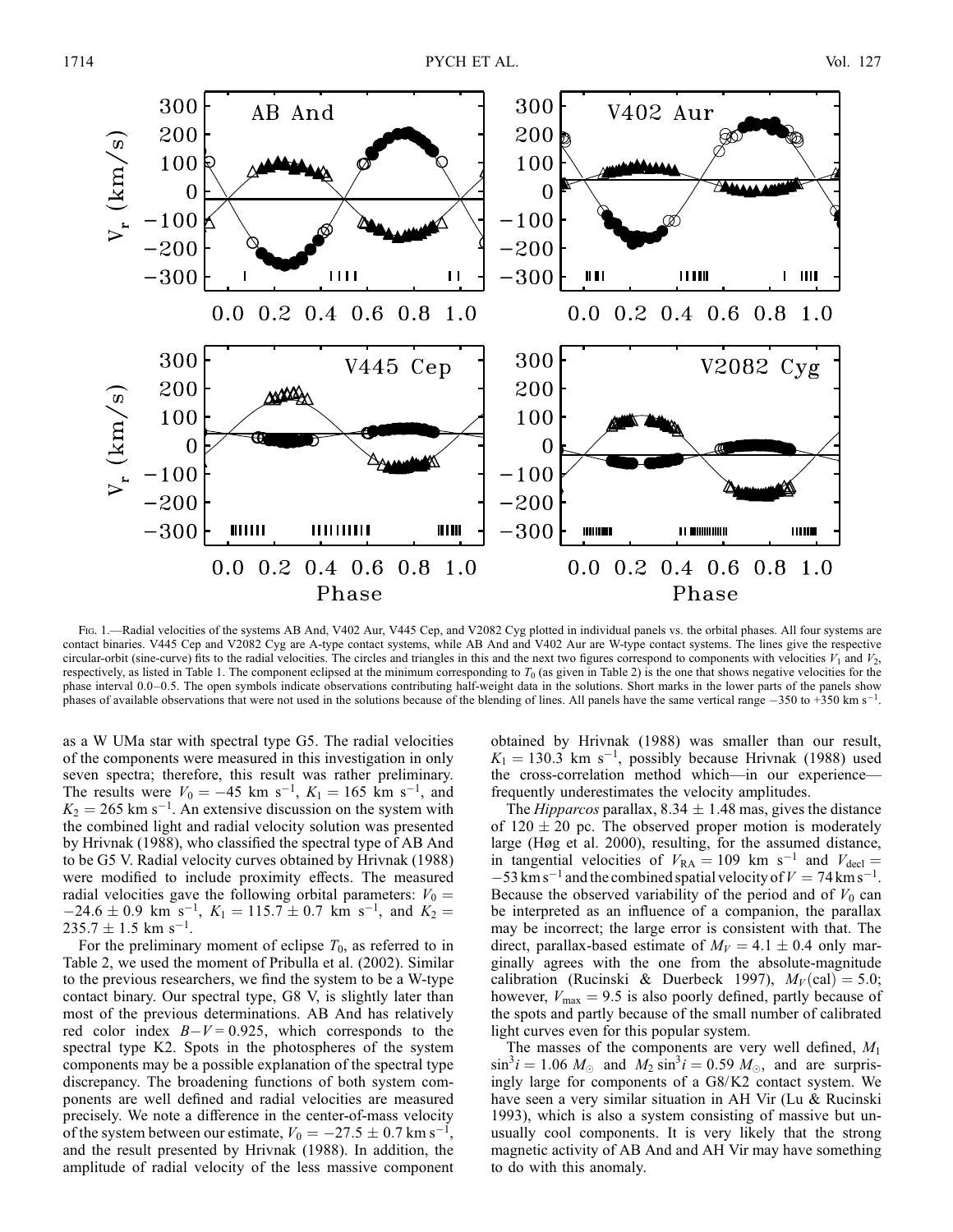

Fig. 1.—Radial velocities of the systems AB And, V402 Aur, V445 Cep, and V2082 Cyg plotted in individual panels vs. the orbital phases. All four systems are contact binaries. V445 Cep and V2082 Cyg are A-type contact systems, while AB And and V402 Aur are W-type contact systems. The lines give the respective circular-orbit (sine-curve) fits to the radial velocities. The circles and triangles in this and the next two figures correspond to components with velocities  $V_1$  and  $V_2$ , respectively, as listed in Table 1. The component eclipsed at the minimum corresponding to  $T_0$  (as given in Table 2) is the one that shows negative velocities for the phase interval 0.0–0.5. The open symbols indicate observations contributing half-weight data in the solutions. Short marks in the lower parts of the panels show phases of available observations that were not used in the solutions because of the blending of lines. All panels have the same vertical range  $-350$  to +350 km s<sup>-1</sup>.

as a W UMa star with spectral type G5. The radial velocities of the components were measured in this investigation in only seven spectra; therefore, this result was rather preliminary. The results were  $V_0 = -45$  km s<sup>-1</sup>,  $K_1 = 165$  km s<sup>-1</sup>, and  $K_2 = 265$  km s<sup>-1</sup>. An extensive discussion on the system with the combined light and radial velocity solution was presented by Hrivnak (1988), who classified the spectral type of AB And to be G5 V. Radial velocity curves obtained by Hrivnak (1988) were modified to include proximity effects. The measured radial velocities gave the following orbital parameters:  $V_0 =$  $-24.6 \pm 0.9$  km s<sup>-1</sup>,  $K_1 = 115.7 \pm 0.7$  km s<sup>-1</sup>, and  $K_2 =$  $235.7 \pm 1.5$  km s<sup>-1</sup>.

For the preliminary moment of eclipse  $T_0$ , as referred to in Table 2, we used the moment of Pribulla et al. (2002). Similar to the previous researchers, we find the system to be a W-type contact binary. Our spectral type, G8 V, is slightly later than most of the previous determinations. AB And has relatively red color index  $B-V = 0.925$ , which corresponds to the spectral type K2. Spots in the photospheres of the system components may be a possible explanation of the spectral type discrepancy. The broadening functions of both system components are well defined and radial velocities are measured precisely. We note a difference in the center-of-mass velocity of the system between our estimate,  $V_0 = -27.5 \pm 0.7$  km s<sup>-1</sup>, and the result presented by Hrivnak (1988). In addition, the amplitude of radial velocity of the less massive component obtained by Hrivnak (1988) was smaller than our result,  $K_1 = 130.3$  km s<sup>-1</sup>, possibly because Hrivnak (1988) used the cross-correlation method which—in our experience frequently underestimates the velocity amplitudes.

The *Hipparcos* parallax,  $8.34 \pm 1.48$  mas, gives the distance of  $120 \pm 20$  pc. The observed proper motion is moderately large (Høg et al. 2000), resulting, for the assumed distance, in tangential velocities of  $V_{\text{RA}} = 109$  km s<sup>-1</sup> and  $V_{\text{decl}} =$  $-53$  km s<sup>-1</sup> and the combined spatial velocity of  $V = 74$  km s<sup>-1</sup>. Because the observed variability of the period and of  $V_0$  can be interpreted as an influence of a companion, the parallax may be incorrect; the large error is consistent with that. The direct, parallax-based estimate of  $M_V = 4.1 \pm 0.4$  only marginally agrees with the one from the absolute-magnitude calibration (Rucinski & Duerbeck 1997),  $M_V$  (cal) = 5.0; however,  $V_{\text{max}} = 9.5$  is also poorly defined, partly because of the spots and partly because of the small number of calibrated light curves even for this popular system.

The masses of the components are very well defined,  $M_1$  $\sin^3 i = 1.06$   $M_{\odot}$  and  $M_2 \sin^3 i = 0.59$   $M_{\odot}$ , and are surprisingly large for components of a G8/K2 contact system. We have seen a very similar situation in AH Vir (Lu & Rucinski 1993), which is also a system consisting of massive but unusually cool components. It is very likely that the strong magnetic activity of AB And and AH Vir may have something to do with this anomaly.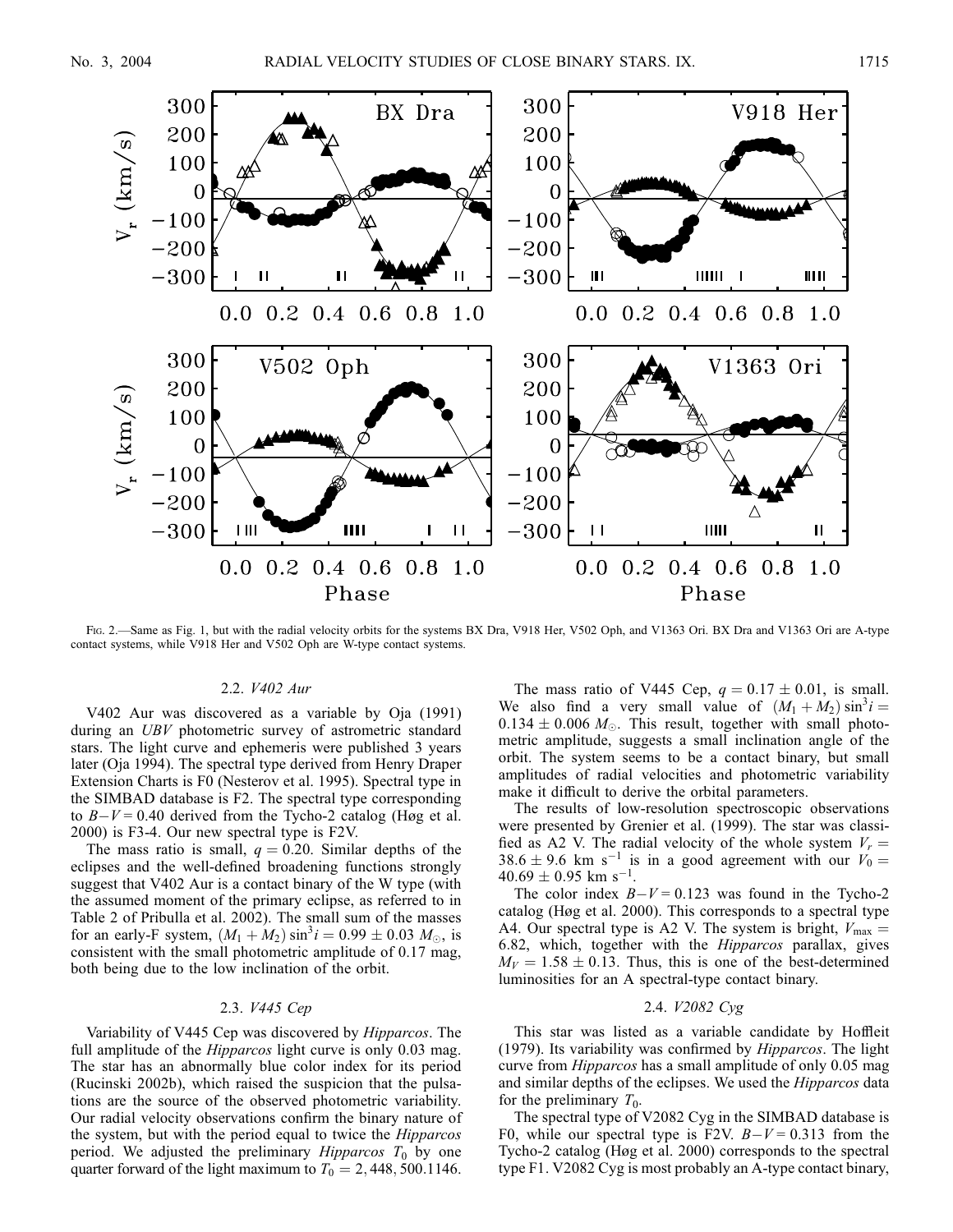

Fig. 2.—Same as Fig. 1, but with the radial velocity orbits for the systems BX Dra, V918 Her, V502 Oph, and V1363 Ori. BX Dra and V1363 Ori are A-type contact systems, while V918 Her and V502 Oph are W-type contact systems.

#### 2.2. V402 Aur

V402 Aur was discovered as a variable by Oja (1991) during an UBV photometric survey of astrometric standard stars. The light curve and ephemeris were published 3 years later (Oja 1994). The spectral type derived from Henry Draper Extension Charts is F0 (Nesterov et al. 1995). Spectral type in the SIMBAD database is F2. The spectral type corresponding to  $B-V = 0.40$  derived from the Tycho-2 catalog (Høg et al. 2000) is F3-4. Our new spectral type is F2V.

The mass ratio is small,  $q = 0.20$ . Similar depths of the eclipses and the well-defined broadening functions strongly suggest that V402 Aur is a contact binary of the W type (with the assumed moment of the primary eclipse, as referred to in Table 2 of Pribulla et al. 2002). The small sum of the masses for an early-F system,  $(M_1 + M_2) \sin^3 i = 0.99 \pm 0.03 M_{\odot}$ , is consistent with the small photometric amplitude of 0.17 mag, both being due to the low inclination of the orbit.

## 2.3. V445 Cep

Variability of V445 Cep was discovered by Hipparcos. The full amplitude of the *Hipparcos* light curve is only 0.03 mag. The star has an abnormally blue color index for its period (Rucinski 2002b), which raised the suspicion that the pulsations are the source of the observed photometric variability. Our radial velocity observations confirm the binary nature of the system, but with the period equal to twice the Hipparcos period. We adjusted the preliminary *Hipparcos*  $T_0$  by one quarter forward of the light maximum to  $T_0 = 2,448,500.1146$ .

The mass ratio of V445 Cep,  $q = 0.17 \pm 0.01$ , is small. We also find a very small value of  $(M_1 + M_2) \sin^3 i =$  $0.134 \pm 0.006$   $M_{\odot}$ . This result, together with small photometric amplitude, suggests a small inclination angle of the orbit. The system seems to be a contact binary, but small amplitudes of radial velocities and photometric variability make it difficult to derive the orbital parameters.

The results of low-resolution spectroscopic observations were presented by Grenier et al. (1999). The star was classified as A2 V. The radial velocity of the whole system  $V_r =$ 38.6  $\pm$  9.6 km s<sup>-1</sup> is in a good agreement with our  $V_0$  =  $40.69 \pm 0.95$  km s<sup>-1</sup>.

The color index  $B-V = 0.123$  was found in the Tycho-2 catalog (Høg et al. 2000). This corresponds to a spectral type A4. Our spectral type is A2 V. The system is bright,  $V_{\text{max}} =$ 6:82, which, together with the Hipparcos parallax, gives  $M_V = 1.58 \pm 0.13$ . Thus, this is one of the best-determined luminosities for an A spectral-type contact binary.

## 2.4. V2082 Cyg

This star was listed as a variable candidate by Hoffleit (1979). Its variability was confirmed by Hipparcos. The light curve from *Hipparcos* has a small amplitude of only 0.05 mag and similar depths of the eclipses. We used the Hipparcos data for the preliminary  $T_0$ .

The spectral type of V2082 Cyg in the SIMBAD database is F0, while our spectral type is F2V.  $B-V = 0.313$  from the Tycho-2 catalog (Høg et al. 2000) corresponds to the spectral type F1. V2082 Cyg is most probably an A-type contact binary,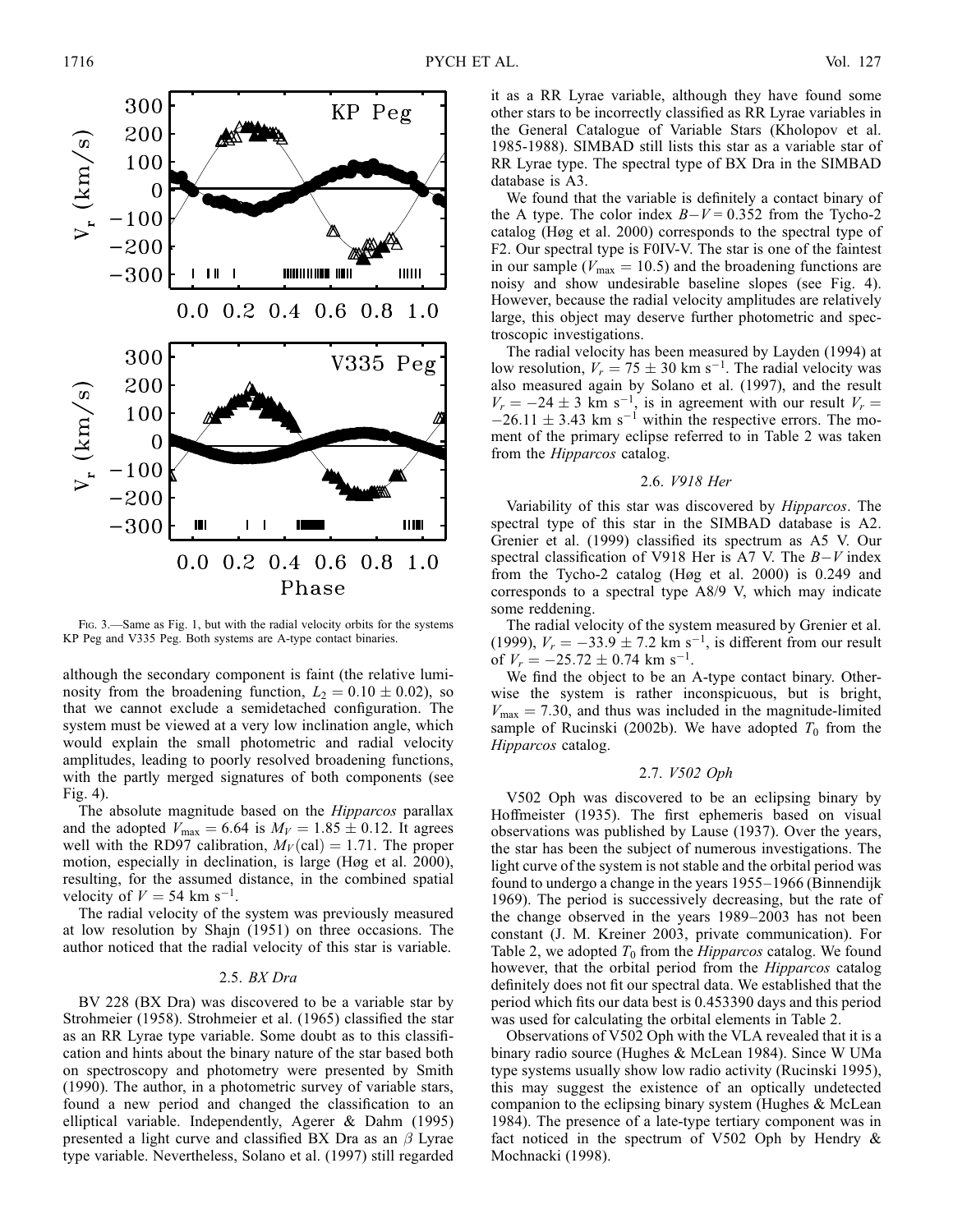

FIG. 3.—Same as Fig. 1, but with the radial velocity orbits for the systems KP Peg and V335 Peg. Both systems are A-type contact binaries.

although the secondary component is faint (the relative luminosity from the broadening function,  $L_2 = 0.10 \pm 0.02$ ), so that we cannot exclude a semidetached configuration. The system must be viewed at a very low inclination angle, which would explain the small photometric and radial velocity amplitudes, leading to poorly resolved broadening functions, with the partly merged signatures of both components (see Fig. 4).

The absolute magnitude based on the Hipparcos parallax and the adopted  $V_{\text{max}} = 6.64$  is  $M_V = 1.85 \pm 0.12$ . It agrees well with the RD97 calibration,  $M_V(\text{cal}) = 1.71$ . The proper motion, especially in declination, is large (Høg et al. 2000), resulting, for the assumed distance, in the combined spatial velocity of  $V = 54$  km s<sup>-1</sup>.

The radial velocity of the system was previously measured at low resolution by Shajn (1951) on three occasions. The author noticed that the radial velocity of this star is variable.

#### 2.5. BX Dra

BV 228 (BX Dra) was discovered to be a variable star by Strohmeier (1958). Strohmeier et al. (1965) classified the star as an RR Lyrae type variable. Some doubt as to this classification and hints about the binary nature of the star based both on spectroscopy and photometry were presented by Smith (1990). The author, in a photometric survey of variable stars, found a new period and changed the classification to an elliptical variable. Independently, Agerer & Dahm (1995) presented a light curve and classified BX Dra as an  $\beta$  Lyrae type variable. Nevertheless, Solano et al. (1997) still regarded

it as a RR Lyrae variable, although they have found some other stars to be incorrectly classified as RR Lyrae variables in the General Catalogue of Variable Stars (Kholopov et al. 1985-1988). SIMBAD still lists this star as a variable star of RR Lyrae type. The spectral type of BX Dra in the SIMBAD database is A3.

We found that the variable is definitely a contact binary of the A type. The color index  $B-V = 0.352$  from the Tycho-2 catalog (Høg et al. 2000) corresponds to the spectral type of F2. Our spectral type is F0IV-V. The star is one of the faintest in our sample ( $V_{\text{max}} = 10.5$ ) and the broadening functions are noisy and show undesirable baseline slopes (see Fig. 4). However, because the radial velocity amplitudes are relatively large, this object may deserve further photometric and spectroscopic investigations.

The radial velocity has been measured by Layden (1994) at low resolution,  $V_r = 75 \pm 30$  km s<sup>-1</sup>. The radial velocity was also measured again by Solano et al. (1997), and the result  $V_r = -24 \pm 3$  km s<sup>-1</sup>, is in agreement with our result  $V_r =$  $-26.11 \pm 3.43$  km s<sup>-1</sup> within the respective errors. The moment of the primary eclipse referred to in Table 2 was taken from the Hipparcos catalog.

#### 2.6. V918 Her

Variability of this star was discovered by Hipparcos. The spectral type of this star in the SIMBAD database is A2. Grenier et al. (1999) classified its spectrum as A5 V. Our spectral classification of V918 Her is A7 V. The  $B-V$  index from the Tycho-2 catalog (Høg et al. 2000) is 0.249 and corresponds to a spectral type A8/9 V, which may indicate some reddening.

The radial velocity of the system measured by Grenier et al. (1999),  $V_r = -33.9 \pm 7.2$  km s<sup>-1</sup>, is different from our result of  $V_r = -25.72 \pm 0.74$  km s<sup>-1</sup>.

We find the object to be an A-type contact binary. Otherwise the system is rather inconspicuous, but is bright,  $V_{\text{max}} = 7.30$ , and thus was included in the magnitude-limited sample of Rucinski (2002b). We have adopted  $T_0$  from the Hipparcos catalog.

#### 2.7. V502 Oph

V502 Oph was discovered to be an eclipsing binary by Hoffmeister (1935). The first ephemeris based on visual observations was published by Lause (1937). Over the years, the star has been the subject of numerous investigations. The light curve of the system is not stable and the orbital period was found to undergo a change in the years 1955–1966 (Binnendijk 1969). The period is successively decreasing, but the rate of the change observed in the years 1989–2003 has not been constant (J. M. Kreiner 2003, private communication). For Table 2, we adopted  $T_0$  from the *Hipparcos* catalog. We found however, that the orbital period from the *Hipparcos* catalog definitely does not fit our spectral data. We established that the period which fits our data best is 0.453390 days and this period was used for calculating the orbital elements in Table 2.

Observations of V502 Oph with the VLA revealed that it is a binary radio source (Hughes & McLean 1984). Since W UMa type systems usually show low radio activity (Rucinski 1995), this may suggest the existence of an optically undetected companion to the eclipsing binary system (Hughes & McLean 1984). The presence of a late-type tertiary component was in fact noticed in the spectrum of V502 Oph by Hendry & Mochnacki (1998).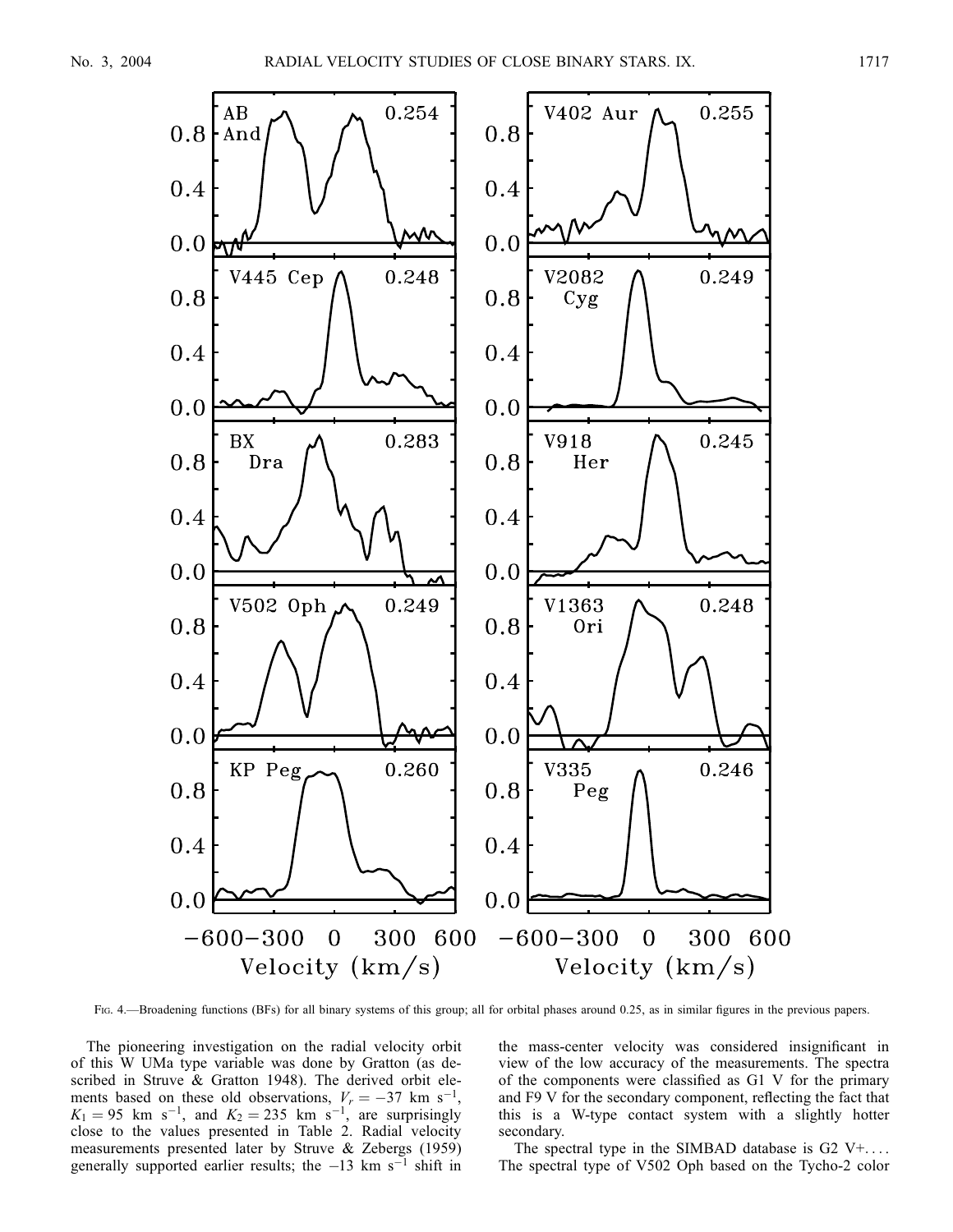

Fig. 4.—Broadening functions (BFs) for all binary systems of this group; all for orbital phases around 0.25, as in similar figures in the previous papers.

The pioneering investigation on the radial velocity orbit of this W UMa type variable was done by Gratton (as described in Struve & Gratton 1948). The derived orbit elements based on these old observations,  $V_r = -37$  km s<sup>-1</sup>,  $K_1 = 95$  km s<sup>-1</sup>, and  $K_2 = 235$  km s<sup>-1</sup>, are surprisingly close to the values presented in Table 2. Radial velocity measurements presented later by Struve & Zebergs (1959) generally supported earlier results; the  $-13$  km s<sup> $-1$ </sup> shift in

the mass-center velocity was considered insignificant in view of the low accuracy of the measurements. The spectra of the components were classified as G1 V for the primary and F9 V for the secondary component, reflecting the fact that this is a W-type contact system with a slightly hotter secondary.

The spectral type in the SIMBAD database is  $G2 V+$ .... The spectral type of V502 Oph based on the Tycho-2 color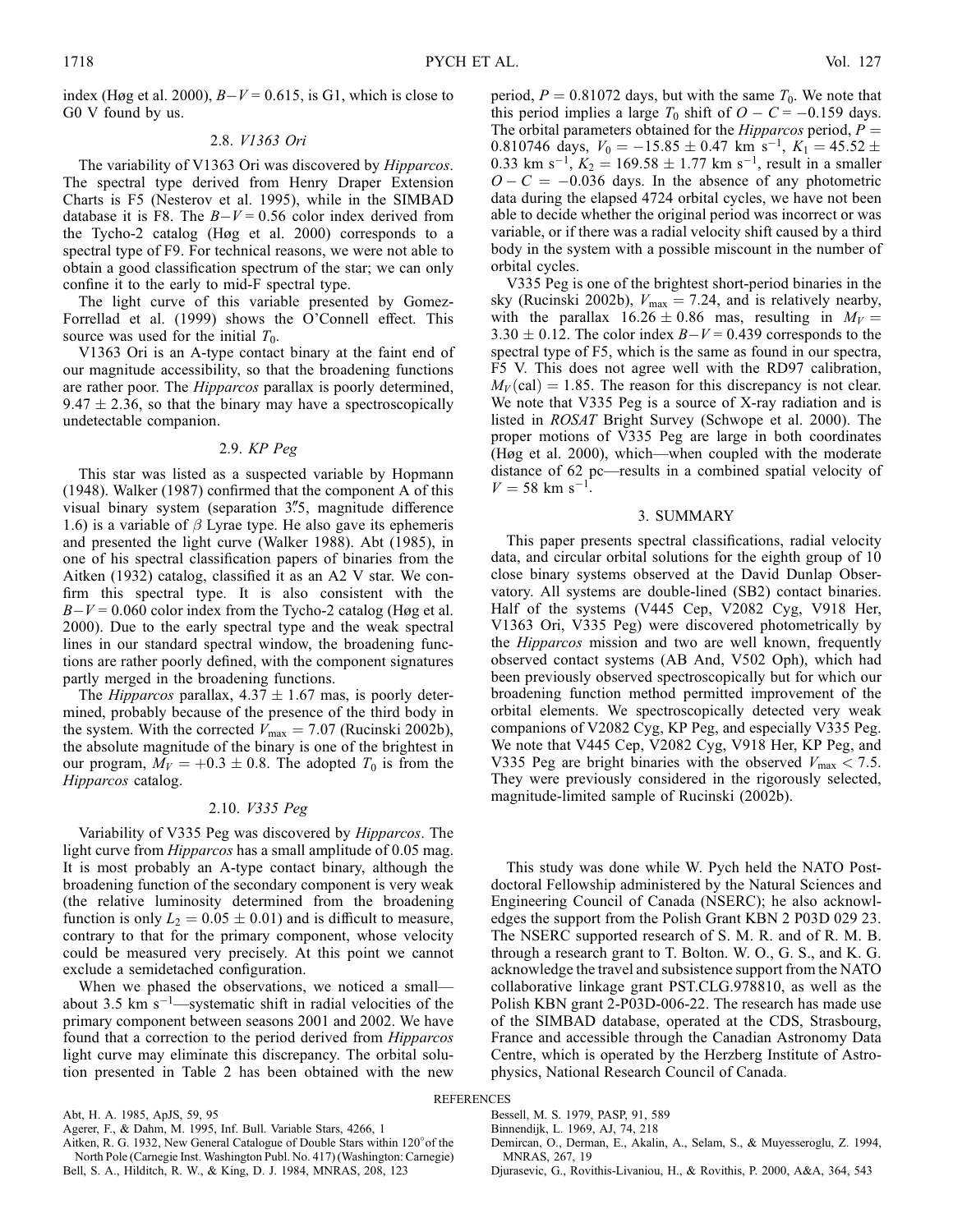index (Høg et al. 2000),  $B-V = 0.615$ , is G1, which is close to G0 V found by us.

## 2.8. V1363 Ori

The variability of V1363 Ori was discovered by Hipparcos. The spectral type derived from Henry Draper Extension Charts is F5 (Nesterov et al. 1995), while in the SIMBAD database it is F8. The  $B-V = 0.56$  color index derived from the Tycho-2 catalog (Høg et al. 2000) corresponds to a spectral type of F9. For technical reasons, we were not able to obtain a good classification spectrum of the star; we can only confine it to the early to mid-F spectral type.

The light curve of this variable presented by Gomez-Forrellad et al. (1999) shows the O'Connell effect. This source was used for the initial  $T_0$ .

V1363 Ori is an A-type contact binary at the faint end of our magnitude accessibility, so that the broadening functions are rather poor. The *Hipparcos* parallax is poorly determined,  $9.47 \pm 2.36$ , so that the binary may have a spectroscopically undetectable companion.

#### 2.9. KP Peg

This star was listed as a suspected variable by Hopmann (1948). Walker (1987) confirmed that the component A of this visual binary system (separation  $3\rlap.{''}5$ , magnitude difference 1.6) is a variable of  $\beta$  Lyrae type. He also gave its ephemeris and presented the light curve (Walker 1988). Abt (1985), in one of his spectral classification papers of binaries from the Aitken (1932) catalog, classified it as an A2 V star. We confirm this spectral type. It is also consistent with the  $B-V = 0.060$  color index from the Tycho-2 catalog (Høg et al. 2000). Due to the early spectral type and the weak spectral lines in our standard spectral window, the broadening functions are rather poorly defined, with the component signatures partly merged in the broadening functions.

The *Hipparcos* parallax,  $4.37 \pm 1.67$  mas, is poorly determined, probably because of the presence of the third body in the system. With the corrected  $V_{\text{max}} = 7.07$  (Rucinski 2002b), the absolute magnitude of the binary is one of the brightest in our program,  $M_V = +0.3 \pm 0.8$ . The adopted  $T_0$  is from the Hipparcos catalog.

#### 2.10. V335 Peg

Variability of V335 Peg was discovered by Hipparcos. The light curve from *Hipparcos* has a small amplitude of 0.05 mag. It is most probably an A-type contact binary, although the broadening function of the secondary component is very weak (the relative luminosity determined from the broadening function is only  $L_2 = 0.05 \pm 0.01$  and is difficult to measure, contrary to that for the primary component, whose velocity could be measured very precisely. At this point we cannot exclude a semidetached configuration.

When we phased the observations, we noticed a small about 3.5 km  $s^{-1}$ —systematic shift in radial velocities of the primary component between seasons 2001 and 2002. We have found that a correction to the period derived from Hipparcos light curve may eliminate this discrepancy. The orbital solution presented in Table 2 has been obtained with the new

Abt, H. A. 1985, ApJS, 59, 95

Aitken, R. G. 1932, New General Catalogue of Double Stars within 120° of the North Pole (Carnegie Inst. Washington Publ. No. 417) (Washington: Carnegie)

Bell, S. A., Hilditch, R. W., & King, D. J. 1984, MNRAS, 208, 123

period,  $P = 0.81072$  days, but with the same  $T_0$ . We note that this period implies a large  $T_0$  shift of  $O - C = -0.159$  days. The orbital parameters obtained for the *Hipparcos* period,  $P =$ 0.810746 days,  $V_0 = -15.85 \pm 0.47$  km s<sup>-1</sup>,  $K_1 = 45.52 \pm$ 0.33 km s<sup>-1</sup>,  $K_2 = 169.58 \pm 1.77$  km s<sup>-1</sup>, result in a smaller  $O - C = -0.036$  days. In the absence of any photometric data during the elapsed 4724 orbital cycles, we have not been able to decide whether the original period was incorrect or was variable, or if there was a radial velocity shift caused by a third body in the system with a possible miscount in the number of orbital cycles.

V335 Peg is one of the brightest short-period binaries in the sky (Rucinski 2002b),  $V_{\text{max}} = 7.24$ , and is relatively nearby, with the parallax  $16.26 \pm 0.86$  mas, resulting in  $M_V =$  $3.30 \pm 0.12$ . The color index  $B-V = 0.439$  corresponds to the spectral type of F5, which is the same as found in our spectra, F5 V. This does not agree well with the RD97 calibration,  $M_V$ (cal) = 1.85. The reason for this discrepancy is not clear. We note that V335 Peg is a source of X-ray radiation and is listed in ROSAT Bright Survey (Schwope et al. 2000). The proper motions of V335 Peg are large in both coordinates (Høg et al. 2000), which—when coupled with the moderate distance of 62 pc—results in a combined spatial velocity of  $V = 58$  km s<sup>-1</sup>.

#### 3. SUMMARY

This paper presents spectral classifications, radial velocity data, and circular orbital solutions for the eighth group of 10 close binary systems observed at the David Dunlap Observatory. All systems are double-lined (SB2) contact binaries. Half of the systems (V445 Cep, V2082 Cyg, V918 Her, V1363 Ori, V335 Peg) were discovered photometrically by the Hipparcos mission and two are well known, frequently observed contact systems (AB And, V502 Oph), which had been previously observed spectroscopically but for which our broadening function method permitted improvement of the orbital elements. We spectroscopically detected very weak companions of V2082 Cyg, KP Peg, and especially V335 Peg. We note that V445 Cep, V2082 Cyg, V918 Her, KP Peg, and V335 Peg are bright binaries with the observed  $V_{\text{max}} < 7.5$ . They were previously considered in the rigorously selected, magnitude-limited sample of Rucinski (2002b).

This study was done while W. Pych held the NATO Postdoctoral Fellowship administered by the Natural Sciences and Engineering Council of Canada (NSERC); he also acknowledges the support from the Polish Grant KBN 2 P03D 029 23. The NSERC supported research of S. M. R. and of R. M. B. through a research grant to T. Bolton. W. O., G. S., and K. G. acknowledge the travel and subsistence support from the NATO collaborative linkage grant PST.CLG.978810, as well as the Polish KBN grant 2-P03D-006-22. The research has made use of the SIMBAD database, operated at the CDS, Strasbourg, France and accessible through the Canadian Astronomy Data Centre, which is operated by the Herzberg Institute of Astrophysics, National Research Council of Canada.

#### REFERENCES

- Bessell, M. S. 1979, PASP, 91, 589
- Binnendijk, L. 1969, AJ, 74, 218
- Demircan, O., Derman, E., Akalin, A., Selam, S., & Muyesseroglu, Z. 1994, MNRAS, 267, 19
- Djurasevic, G., Rovithis-Livaniou, H., & Rovithis, P. 2000, A&A, 364, 543

Agerer, F., & Dahm, M. 1995, Inf. Bull. Variable Stars, 4266, 1